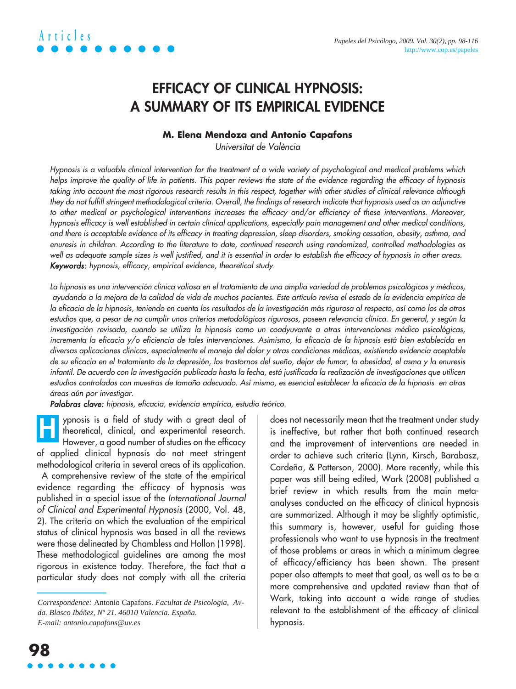### **EFFICACY OF CLINICAL HYPNOSIS: A SUMMARY OF ITS EMPIRICAL EVIDENCE**

#### **M. Elena Mendoza and Antonio Capafons**

Universitat de València

Hypnosis is a valuable clinical intervention for the treatment of a wide variety of psychological and medical problems which helps improve the quality of life in patients. This paper reviews the state of the evidence regarding the efficacy of hypnosis taking into account the most rigorous research results in this respect, together with other studies of clinical relevance although they do not fulfill stringent methodological criteria. Overall, the findings of research indicate that hypnosis used as an adjunctive to other medical or psychological interventions increases the efficacy and/or efficiency of these interventions. Moreover, hypnosis efficacy is well established in certain clinical applications, especially pain management and other medical conditions, and there is acceptable evidence of its efficacy in treating depression, sleep disorders, smoking cessation, obesity, asthma, and enuresis in children. According to the literature to date, continued research using randomized, controlled methodologies as well as adequate sample sizes is well justified, and it is essential in order to establish the efficacy of hypnosis in other areas. Keywords: hypnosis, efficacy, empirical evidence, theoretical study.

La hipnosis es una intervención clínica valiosa en el tratamiento de una amplia variedad de problemas psicológicos y médicos, ayudando a la mejora de la calidad de vida de muchos pacientes. Este artículo revisa el estado de la evidencia empírica de la eficacia de la hipnosis, teniendo en cuenta los resultados de la investigación más rigurosa al respecto, así como los de otros estudios que, a pesar de no cumplir unos criterios metodológicos rigurosos, poseen relevancia clínica. En general, y según la investigación revisada, cuando se utiliza la hipnosis como un coadyuvante a otras intervenciones médico psicológicas, incrementa la eficacia y/o eficiencia de tales intervenciones. Asimismo, la eficacia de la hipnosis está bien establecida en diversas aplicaciones clínicas, especialmente el manejo del dolor y otras condiciones médicas, existiendo evidencia aceptable de su eficacia en el tratamiento de la depresión, los trastornos del sueño, dejar de fumar, la obesidad, el asma y la enuresis infantil. De acuerdo con la investigación publicada hasta la fecha, está justificada la realización de investigaciones que utilicen estudios controlados con muestras de tamaño adecuado. Así mismo, es esencial establecer la eficacia de la hipnosis en otras áreas aún por investigar.

Palabras clave: hipnosis, eficacia, evidencia empírica, estudio teórico.

ypnosis is a field of study with a great deal of theoretical, clinical, and experimental research. However, a good number of studies on the efficacy of applied clinical hypnosis do not meet stringent methodological criteria in several areas of its application. A comprehensive review of the state of the empirical evidence regarding the efficacy of hypnosis was published in a special issue of the International Journal of Clinical and Experimental Hypnosis (2000, Vol. 48, 2). The criteria on which the evaluation of the empirical status of clinical hypnosis was based in all the reviews were those delineated by Chambless and Hollon (1998). **H**

These methodological guidelines are among the most rigorous in existence today. Therefore, the fact that a particular study does not comply with all the criteria

does not necessarily mean that the treatment under study is ineffective, but rather that both continued research and the improvement of interventions are needed in order to achieve such criteria (Lynn, Kirsch, Barabasz, Cardeña, & Patterson, 2000). More recently, while this paper was still being edited, Wark (2008) published a brief review in which results from the main metaanalyses conducted on the efficacy of clinical hypnosis are summarized. Although it may be slightly optimistic, this summary is, however, useful for guiding those professionals who want to use hypnosis in the treatment of those problems or areas in which a minimum degree of efficacy/efficiency has been shown. The present paper also attempts to meet that goal, as well as to be a more comprehensive and updated review than that of Wark, taking into account a wide range of studies relevant to the establishment of the efficacy of clinical hypnosis.

*Correspondence:* Antonio Capafons. *Facultat de Psicologia, Avda. Blasco Ibáñez, Nº 21. 46010 Valencia. España. E-mail: antonio.capafons@uv.es*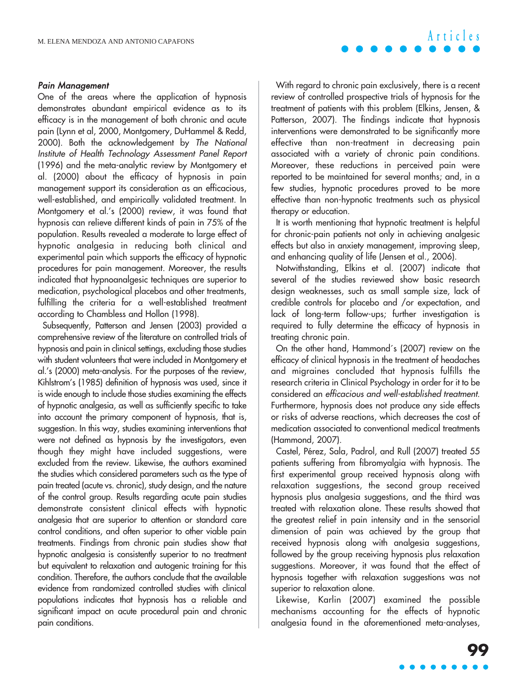#### Pain Management

One of the areas where the application of hypnosis demonstrates abundant empirical evidence as to its efficacy is in the management of both chronic and acute pain (Lynn et al, 2000, Montgomery, DuHammel & Redd, 2000). Both the acknowledgement by The National Institute of Health Technology Assessment Panel Report (1996) and the meta-analytic review by Montgomery et al. (2000) about the efficacy of hypnosis in pain management support its consideration as an efficacious, well-established, and empirically validated treatment. In Montgomery et al.'s (2000) review, it was found that hypnosis can relieve different kinds of pain in 75% of the population. Results revealed a moderate to large effect of hypnotic analgesia in reducing both clinical and experimental pain which supports the efficacy of hypnotic procedures for pain management. Moreover, the results indicated that hypnoanalgesic techniques are superior to medication, psychological placebos and other treatments, fulfilling the criteria for a well-established treatment according to Chambless and Hollon (1998).

Subsequently, Patterson and Jensen (2003) provided a comprehensive review of the literature on controlled trials of hypnosis and pain in clinical settings, excluding those studies with student volunteers that were included in Montgomery et al.'s (2000) meta-analysis. For the purposes of the review, Kihlstrom's (1985) definition of hypnosis was used, since it is wide enough to include those studies examining the effects of hypnotic analgesia, as well as sufficiently specific to take into account the primary component of hypnosis, that is, suggestion. In this way, studies examining interventions that were not defined as hypnosis by the investigators, even though they might have included suggestions, were excluded from the review. Likewise, the authors examined the studies which considered parameters such as the type of pain treated (acute vs. chronic), study design, and the nature of the control group. Results regarding acute pain studies demonstrate consistent clinical effects with hypnotic analgesia that are superior to attention or standard care control conditions, and often superior to other viable pain treatments. Findings from chronic pain studies show that hypnotic analgesia is consistently superior to no treatment but equivalent to relaxation and autogenic training for this condition. Therefore, the authors conclude that the available evidence from randomized controlled studies with clinical populations indicates that hypnosis has a reliable and significant impact on acute procedural pain and chronic pain conditions.

With regard to chronic pain exclusively, there is a recent review of controlled prospective trials of hypnosis for the treatment of patients with this problem (Elkins, Jensen, & Patterson, 2007). The findings indicate that hypnosis interventions were demonstrated to be significantly more effective than non-treatment in decreasing pain associated with a variety of chronic pain conditions. Moreover, these reductions in perceived pain were reported to be maintained for several months; and, in a few studies, hypnotic procedures proved to be more effective than non-hypnotic treatments such as physical therapy or education.

**Articles**

It is worth mentioning that hypnotic treatment is helpful for chronic-pain patients not only in achieving analgesic effects but also in anxiety management, improving sleep, and enhancing quality of life (Jensen et al., 2006).

Notwithstanding, Elkins et al. (2007) indicate that several of the studies reviewed show basic research design weaknesses, such as small sample size, lack of credible controls for placebo and /or expectation, and lack of long-term follow-ups; further investigation is required to fully determine the efficacy of hypnosis in treating chronic pain.

On the other hand, Hammond´s (2007) review on the efficacy of clinical hypnosis in the treatment of headaches and migraines concluded that hypnosis fulfills the research criteria in Clinical Psychology in order for it to be considered an efficacious and well-established treatment. Furthermore, hypnosis does not produce any side effects or risks of adverse reactions, which decreases the cost of medication associated to conventional medical treatments (Hammond, 2007).

Castel, Pérez, Sala, Padrol, and Rull (2007) treated 55 patients suffering from fibromyalgia with hypnosis. The first experimental group received hypnosis along with relaxation suggestions, the second group received hypnosis plus analgesia suggestions, and the third was treated with relaxation alone. These results showed that the greatest relief in pain intensity and in the sensorial dimension of pain was achieved by the group that received hypnosis along with analgesia suggestions, followed by the group receiving hypnosis plus relaxation suggestions. Moreover, it was found that the effect of hypnosis together with relaxation suggestions was not superior to relaxation alone.

Likewise, Karlin (2007) examined the possible mechanisms accounting for the effects of hypnotic analgesia found in the aforementioned meta-analyses,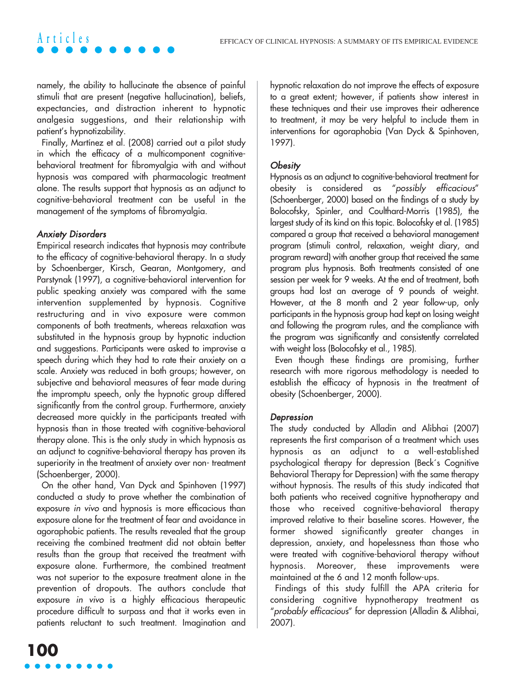namely, the ability to hallucinate the absence of painful stimuli that are present (negative hallucination), beliefs, expectancies, and distraction inherent to hypnotic analgesia suggestions, and their relationship with patient's hypnotizability.

Finally, Martínez et al. (2008) carried out a pilot study in which the efficacy of a multicomponent cognitivebehavioral treatment for fibromyalgia with and without hypnosis was compared with pharmacologic treatment alone. The results support that hypnosis as an adjunct to cognitive-behavioral treatment can be useful in the management of the symptoms of fibromyalgia.

#### Anxiety Disorders

**Articles**

Empirical research indicates that hypnosis may contribute to the efficacy of cognitive-behavioral therapy. In a study by Schoenberger, Kirsch, Gearan, Montgomery, and Parstynak (1997), a cognitive-behavioral intervention for public speaking anxiety was compared with the same intervention supplemented by hypnosis. Cognitive restructuring and in vivo exposure were common components of both treatments, whereas relaxation was substituted in the hypnosis group by hypnotic induction and suggestions. Participants were asked to improvise a speech during which they had to rate their anxiety on a scale. Anxiety was reduced in both groups; however, on subjective and behavioral measures of fear made during the impromptu speech, only the hypnotic group differed significantly from the control group. Furthermore, anxiety decreased more quickly in the participants treated with hypnosis than in those treated with cognitive-behavioral therapy alone. This is the only study in which hypnosis as an adjunct to cognitive-behavioral therapy has proven its superiority in the treatment of anxiety over non- treatment (Schoenberger, 2000).

On the other hand, Van Dyck and Spinhoven (1997) conducted a study to prove whether the combination of exposure in vivo and hypnosis is more efficacious than exposure alone for the treatment of fear and avoidance in agoraphobic patients. The results revealed that the group receiving the combined treatment did not obtain better results than the group that received the treatment with exposure alone. Furthermore, the combined treatment was not superior to the exposure treatment alone in the prevention of dropouts. The authors conclude that exposure in vivo is a highly efficacious therapeutic procedure difficult to surpass and that it works even in patients reluctant to such treatment. Imagination and hypnotic relaxation do not improve the effects of exposure to a great extent; however, if patients show interest in these techniques and their use improves their adherence to treatment, it may be very helpful to include them in interventions for agoraphobia (Van Dyck & Spinhoven, 1997).

#### **Obesity**

Hypnosis as an adjunct to cognitive-behavioral treatment for obesity is considered as "possibly efficacious" (Schoenberger, 2000) based on the findings of a study by Bolocofsky, Spinler, and Coulthard-Morris (1985), the largest study of its kind on this topic. Bolocofsky et al. (1985) compared a group that received a behavioral management program (stimuli control, relaxation, weight diary, and program reward) with another group that received the same program plus hypnosis. Both treatments consisted of one session per week for 9 weeks. At the end of treatment, both groups had lost an average of 9 pounds of weight. However, at the 8 month and 2 year follow-up, only participants in the hypnosis group had kept on losing weight and following the program rules, and the compliance with the program was significantly and consistently correlated with weight loss (Bolocofsky et al., 1985).

Even though these findings are promising, further research with more rigorous methodology is needed to establish the efficacy of hypnosis in the treatment of obesity (Schoenberger, 2000).

#### Depression

The study conducted by Alladin and Alibhai (2007) represents the first comparison of a treatment which uses hypnosis as an adjunct to a well-established psychological therapy for depression (Beck´s Cognitive Behavioral Therapy for Depression) with the same therapy without hypnosis. The results of this study indicated that both patients who received cognitive hypnotherapy and those who received cognitive-behavioral therapy improved relative to their baseline scores. However, the former showed significantly greater changes in depression, anxiety, and hopelessness than those who were treated with cognitive-behavioral therapy without hypnosis. Moreover, these improvements were maintained at the 6 and 12 month follow-ups.

Findings of this study fulfill the APA criteria for considering cognitive hypnotherapy treatment as "probably efficacious" for depression (Alladin & Alibhai, 2007).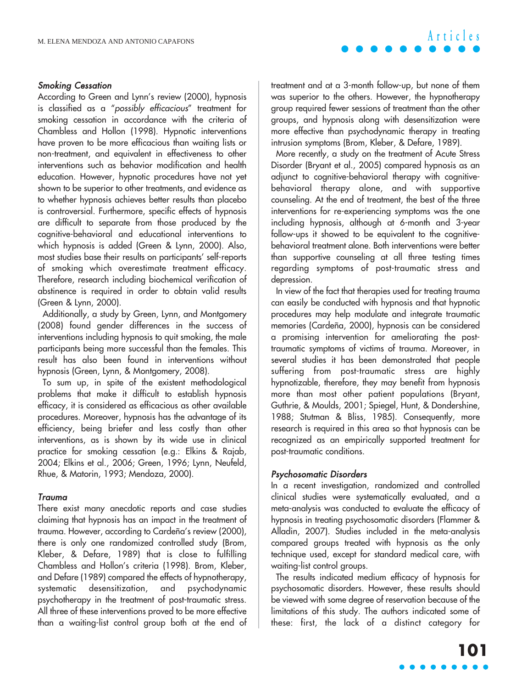#### Smoking Cessation

According to Green and Lynn's review (2000), hypnosis is classified as a "possibly efficacious" treatment for smoking cessation in accordance with the criteria of Chambless and Hollon (1998). Hypnotic interventions have proven to be more efficacious than waiting lists or non-treatment, and equivalent in effectiveness to other interventions such as behavior modification and health education. However, hypnotic procedures have not yet shown to be superior to other treatments, and evidence as to whether hypnosis achieves better results than placebo is controversial. Furthermore, specific effects of hypnosis are difficult to separate from those produced by the cognitive-behavioral and educational interventions to which hypnosis is added (Green & Lynn, 2000). Also, most studies base their results on participants' self-reports of smoking which overestimate treatment efficacy. Therefore, research including biochemical verification of abstinence is required in order to obtain valid results (Green & Lynn, 2000).

Additionally, a study by Green, Lynn, and Montgomery (2008) found gender differences in the success of interventions including hypnosis to quit smoking, the male participants being more successful than the females. This result has also been found in interventions without hypnosis (Green, Lynn, & Montgomery, 2008).

To sum up, in spite of the existent methodological problems that make it difficult to establish hypnosis efficacy, it is considered as efficacious as other available procedures. Moreover, hypnosis has the advantage of its efficiency, being briefer and less costly than other interventions, as is shown by its wide use in clinical practice for smoking cessation (e.g.: Elkins & Rajab, 2004; Elkins et al., 2006; Green, 1996; Lynn, Neufeld, Rhue, & Matorin, 1993; Mendoza, 2000).

#### Trauma

There exist many anecdotic reports and case studies claiming that hypnosis has an impact in the treatment of trauma. However, according to Cardeña's review (2000), there is only one randomized controlled study (Brom, Kleber, & Defare, 1989) that is close to fulfilling Chambless and Hollon's criteria (1998). Brom, Kleber, and Defare (1989) compared the effects of hypnotherapy, systematic desensitization, and psychodynamic psychotherapy in the treatment of post-traumatic stress. All three of these interventions proved to be more effective than a waiting-list control group both at the end of

treatment and at a 3-month follow-up, but none of them was superior to the others. However, the hypnotherapy group required fewer sessions of treatment than the other groups, and hypnosis along with desensitization were more effective than psychodynamic therapy in treating intrusion symptoms (Brom, Kleber, & Defare, 1989).

More recently, a study on the treatment of Acute Stress Disorder (Bryant et al., 2005) compared hypnosis as an adjunct to cognitive-behavioral therapy with cognitivebehavioral therapy alone, and with supportive counseling. At the end of treatment, the best of the three interventions for re-experiencing symptoms was the one including hypnosis, although at 6-month and 3-year follow-ups it showed to be equivalent to the cognitivebehavioral treatment alone. Both interventions were better than supportive counseling at all three testing times regarding symptoms of post-traumatic stress and depression.

In view of the fact that therapies used for treating trauma can easily be conducted with hypnosis and that hypnotic procedures may help modulate and integrate traumatic memories (Cardeña, 2000), hypnosis can be considered a promising intervention for ameliorating the posttraumatic symptoms of victims of trauma. Moreover, in several studies it has been demonstrated that people suffering from post-traumatic stress are highly hypnotizable, therefore, they may benefit from hypnosis more than most other patient populations (Bryant, Guthrie, & Moulds, 2001; Spiegel, Hunt, & Dondershine, 1988; Stutman & Bliss, 1985). Consequently, more research is required in this area so that hypnosis can be recognized as an empirically supported treatment for post-traumatic conditions.

#### Psychosomatic Disorders

In a recent investigation, randomized and controlled clinical studies were systematically evaluated, and a meta-analysis was conducted to evaluate the efficacy of hypnosis in treating psychosomatic disorders (Flammer & Alladin, 2007). Studies included in the meta-analysis compared groups treated with hypnosis as the only technique used, except for standard medical care, with waiting-list control groups.

The results indicated medium efficacy of hypnosis for psychosomatic disorders. However, these results should be viewed with some degree of reservation because of the limitations of this study. The authors indicated some of these: first, the lack of a distinct category for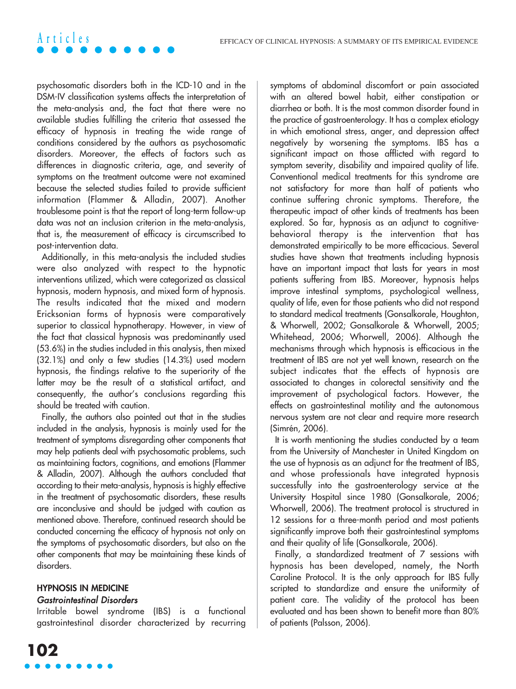psychosomatic disorders both in the ICD-10 and in the DSM-IV classification systems affects the interpretation of the meta-analysis and, the fact that there were no available studies fulfilling the criteria that assessed the efficacy of hypnosis in treating the wide range of conditions considered by the authors as psychosomatic disorders. Moreover, the effects of factors such as differences in diagnostic criteria, age, and severity of symptoms on the treatment outcome were not examined because the selected studies failed to provide sufficient information (Flammer & Alladin, 2007). Another troublesome point is that the report of long-term follow-up data was not an inclusion criterion in the meta-analysis, that is, the measurement of efficacy is circumscribed to post-intervention data.

**Articles**

Additionally, in this meta-analysis the included studies were also analyzed with respect to the hypnotic interventions utilized, which were categorized as classical hypnosis, modern hypnosis, and mixed form of hypnosis. The results indicated that the mixed and modern Ericksonian forms of hypnosis were comparatively superior to classical hypnotherapy. However, in view of the fact that classical hypnosis was predominantly used (53.6%) in the studies included in this analysis, then mixed (32.1%) and only a few studies (14.3%) used modern hypnosis, the findings relative to the superiority of the latter may be the result of a statistical artifact, and consequently, the author's conclusions regarding this should be treated with caution.

Finally, the authors also pointed out that in the studies included in the analysis, hypnosis is mainly used for the treatment of symptoms disregarding other components that may help patients deal with psychosomatic problems, such as maintaining factors, cognitions, and emotions (Flammer & Alladin, 2007). Although the authors concluded that according to their meta-analysis, hypnosis is highly effective in the treatment of psychosomatic disorders, these results are inconclusive and should be judged with caution as mentioned above. Therefore, continued research should be conducted concerning the efficacy of hypnosis not only on the symptoms of psychosomatic disorders, but also on the other components that may be maintaining these kinds of disorders.

#### **HYPNOSIS IN MEDICINE** Gastrointestinal Disorders

Irritable bowel syndrome (IBS) is a functional gastrointestinal disorder characterized by recurring symptoms of abdominal discomfort or pain associated with an altered bowel habit, either constipation or diarrhea or both. It is the most common disorder found in the practice of gastroenterology. It has a complex etiology in which emotional stress, anger, and depression affect negatively by worsening the symptoms. IBS has a significant impact on those afflicted with regard to symptom severity, disability and impaired quality of life. Conventional medical treatments for this syndrome are not satisfactory for more than half of patients who continue suffering chronic symptoms. Therefore, the therapeutic impact of other kinds of treatments has been explored. So far, hypnosis as an adjunct to cognitivebehavioral therapy is the intervention that has demonstrated empirically to be more efficacious. Several studies have shown that treatments including hypnosis have an important impact that lasts for years in most patients suffering from IBS. Moreover, hypnosis helps improve intestinal symptoms, psychological wellness, quality of life, even for those patients who did not respond to standard medical treatments (Gonsalkorale, Houghton, & Whorwell, 2002; Gonsalkorale & Whorwell, 2005; Whitehead, 2006; Whorwell, 2006). Although the mechanisms through which hypnosis is efficacious in the treatment of IBS are not yet well known, research on the subject indicates that the effects of hypnosis are associated to changes in colorectal sensitivity and the improvement of psychological factors. However, the effects on gastrointestinal motility and the autonomous nervous system are not clear and require more research (Simrén, 2006).

It is worth mentioning the studies conducted by a team from the University of Manchester in United Kingdom on the use of hypnosis as an adjunct for the treatment of IBS, and whose professionals have integrated hypnosis successfully into the gastroenterology service at the University Hospital since 1980 (Gonsalkorale, 2006; Whorwell, 2006). The treatment protocol is structured in 12 sessions for a three-month period and most patients significantly improve both their gastrointestinal symptoms and their quality of life (Gonsalkorale, 2006).

Finally, a standardized treatment of 7 sessions with hypnosis has been developed, namely, the North Caroline Protocol. It is the only approach for IBS fully scripted to standardize and ensure the uniformity of patient care. The validity of the protocol has been evaluated and has been shown to benefit more than 80% of patients (Palsson, 2006).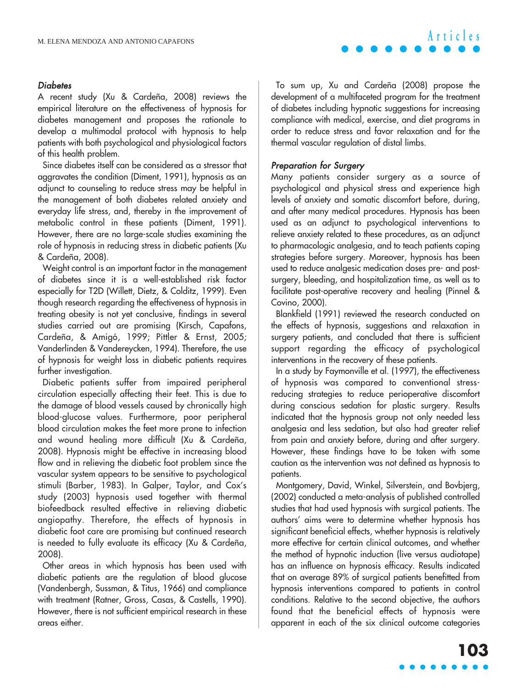#### **Diabetes**

A recent study (Xu & Cardeña, 2008) reviews the empirical literature on the effectiveness of hypnosis for diabetes management and proposes the rationale to develop a multimodal protocol with hypnosis to help patients with both psychological and physiological factors of this health problem.

Since diabetes itself can be considered as a stressor that aggravates the condition (Diment, 1991), hypnosis as an adjunct to counseling to reduce stress may be helpful in the management of both diabetes related anxiety and everyday life stress, and, thereby in the improvement of metabolic control in these patients (Diment, 1991). However, there are no large-scale studies examining the role of hypnosis in reducing stress in diabetic patients (Xu & Cardeña, 2008).

Weight control is an important factor in the management of diabetes since it is a well-established risk factor especially for T2D (Willett, Dietz, & Colditz, 1999). Even though research regarding the effectiveness of hypnosis in treating obesity is not yet conclusive, findings in several studies carried out are promising (Kirsch, Capafons, Cardeña, & Amigó, 1999; Pittler & Ernst, 2005; Vanderlinden & Vandereycken, 1994). Therefore, the use of hypnosis for weight loss in diabetic patients requires further investigation.

Diabetic patients suffer from impaired peripheral circulation especially affecting their feet. This is due to the damage of blood vessels caused by chronically high blood-glucose values. Furthermore, poor peripheral blood circulation makes the feet more prone to infection and wound healing more difficult (Xu & Cardeña, 2008). Hypnosis might be effective in increasing blood flow and in relieving the diabetic foot problem since the vascular system appears to be sensitive to psychological stimuli (Barber, 1983). In Galper, Taylor, and Cox's study (2003) hypnosis used together with thermal biofeedback resulted effective in relieving diabetic angiopathy. Therefore, the effects of hypnosis in diabetic foot care are promising but continued research is needed to fully evaluate its efficacy (Xu & Cardeña, 2008).

Other areas in which hypnosis has been used with diabetic patients are the regulation of blood glucose (Vandenbergh, Sussman, & Titus, 1966) and compliance with treatment (Ratner, Gross, Casas, & Castells, 1990). However, there is not sufficient empirical research in these areas either.

To sum up, Xu and Cardeña (2008) propose the development of a multifaceted program for the treatment of diabetes including hypnotic suggestions for increasing compliance with medical, exercise, and diet programs in order to reduce stress and favor relaxation and for the thermal vascular regulation of distal limbs.

#### Preparation for Surgery

Many patients consider surgery as a source of psychological and physical stress and experience high levels of anxiety and somatic discomfort before, during, and after many medical procedures. Hypnosis has been used as an adjunct to psychological interventions to relieve anxiety related to these procedures, as an adjunct to pharmacologic analgesia, and to teach patients coping strategies before surgery. Moreover, hypnosis has been used to reduce analgesic medication doses pre- and postsurgery, bleeding, and hospitalization time, as well as to facilitate post-operative recovery and healing (Pinnel & Covino, 2000).

Blankfield (1991) reviewed the research conducted on the effects of hypnosis, suggestions and relaxation in surgery patients, and concluded that there is sufficient support regarding the efficacy of psychological interventions in the recovery of these patients.

In a study by Faymonville et al. (1997), the effectiveness of hypnosis was compared to conventional stressreducing strategies to reduce perioperative discomfort during conscious sedation for plastic surgery. Results indicated that the hypnosis group not only needed less analgesia and less sedation, but also had greater relief from pain and anxiety before, during and after surgery. However, these findings have to be taken with some caution as the intervention was not defined as hypnosis to patients.

Montgomery, David, Winkel, Silverstein, and Bovbjerg, (2002) conducted a meta-analysis of published controlled studies that had used hypnosis with surgical patients. The authors' aims were to determine whether hypnosis has significant beneficial effects, whether hypnosis is relatively more effective for certain clinical outcomes, and whether the method of hypnotic induction (live versus audiotape) has an influence on hypnosis efficacy. Results indicated that on average 89% of surgical patients benefitted from hypnosis interventions compared to patients in control conditions. Relative to the second objective, the authors found that the beneficial effects of hypnosis were apparent in each of the six clinical outcome categories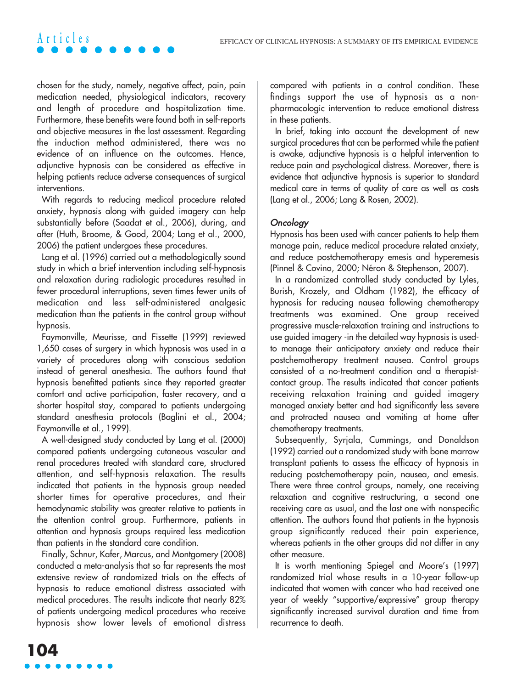chosen for the study, namely, negative affect, pain, pain medication needed, physiological indicators, recovery and length of procedure and hospitalization time. Furthermore, these benefits were found both in self-reports and objective measures in the last assessment. Regarding the induction method administered, there was no evidence of an influence on the outcomes. Hence, adjunctive hypnosis can be considered as effective in helping patients reduce adverse consequences of surgical interventions.

**Articles**

With regards to reducing medical procedure related anxiety, hypnosis along with guided imagery can help substantially before (Saadat et al., 2006), during, and after (Huth, Broome, & Good, 2004; Lang et al., 2000, 2006) the patient undergoes these procedures.

Lang et al. (1996) carried out a methodologically sound study in which a brief intervention including self-hypnosis and relaxation during radiologic procedures resulted in fewer procedural interruptions, seven times fewer units of medication and less self-administered analgesic medication than the patients in the control group without hypnosis.

Faymonville, Meurisse, and Fissette (1999) reviewed 1,650 cases of surgery in which hypnosis was used in a variety of procedures along with conscious sedation instead of general anesthesia. The authors found that hypnosis benefitted patients since they reported greater comfort and active participation, faster recovery, and a shorter hospital stay, compared to patients undergoing standard anesthesia protocols (Baglini et al., 2004; Faymonville et al., 1999).

A well-designed study conducted by Lang et al. (2000) compared patients undergoing cutaneous vascular and renal procedures treated with standard care, structured attention, and self-hypnosis relaxation. The results indicated that patients in the hypnosis group needed shorter times for operative procedures, and their hemodynamic stability was greater relative to patients in the attention control group. Furthermore, patients in attention and hypnosis groups required less medication than patients in the standard care condition.

Finally, Schnur, Kafer, Marcus, and Montgomery (2008) conducted a meta-analysis that so far represents the most extensive review of randomized trials on the effects of hypnosis to reduce emotional distress associated with medical procedures. The results indicate that nearly 82% of patients undergoing medical procedures who receive hypnosis show lower levels of emotional distress compared with patients in a control condition. These findings support the use of hypnosis as a nonpharmacologic intervention to reduce emotional distress in these patients.

In brief, taking into account the development of new surgical procedures that can be performed while the patient is awake, adjunctive hypnosis is a helpful intervention to reduce pain and psychological distress. Moreover, there is evidence that adjunctive hypnosis is superior to standard medical care in terms of quality of care as well as costs (Lang et al., 2006; Lang & Rosen, 2002).

#### **Oncology**

Hypnosis has been used with cancer patients to help them manage pain, reduce medical procedure related anxiety, and reduce postchemotherapy emesis and hyperemesis (Pinnel & Covino, 2000; Néron & Stephenson, 2007).

In a randomized controlled study conducted by Lyles, Burish, Krozely, and Oldham (1982), the efficacy of hypnosis for reducing nausea following chemotherapy treatments was examined. One group received progressive muscle-relaxation training and instructions to use guided imagery -in the detailed way hypnosis is usedto manage their anticipatory anxiety and reduce their postchemotherapy treatment nausea. Control groups consisted of a no-treatment condition and a therapistcontact group. The results indicated that cancer patients receiving relaxation training and guided imagery managed anxiety better and had significantly less severe and protracted nausea and vomiting at home after chemotherapy treatments.

Subsequently, Syrjala, Cummings, and Donaldson (1992) carried out a randomized study with bone marrow transplant patients to assess the efficacy of hypnosis in reducing postchemotherapy pain, nausea, and emesis. There were three control groups, namely, one receiving relaxation and cognitive restructuring, a second one receiving care as usual, and the last one with nonspecific attention. The authors found that patients in the hypnosis group significantly reduced their pain experience, whereas patients in the other groups did not differ in any other measure.

It is worth mentioning Spiegel and Moore's (1997) randomized trial whose results in a 10-year follow-up indicated that women with cancer who had received one year of weekly "supportive/expressive" group therapy significantly increased survival duration and time from recurrence to death.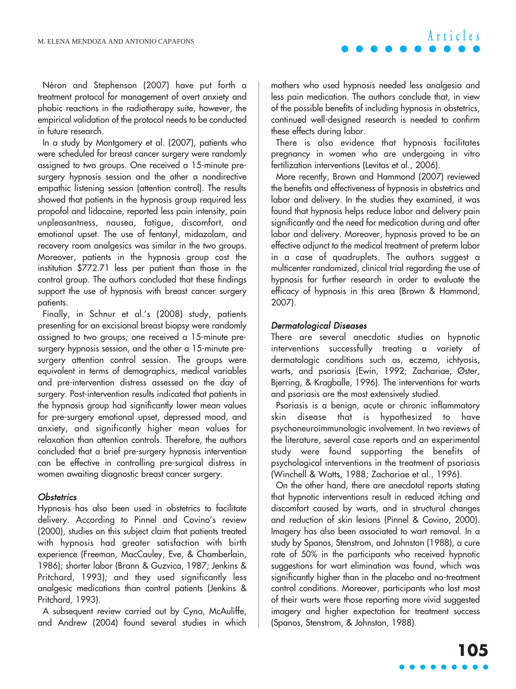Néron and Stephenson (2007) have put forth a treatment protocol for management of overt anxiety and phobic reactions in the radiotherapy suite, however, the empirical validation of the protocol needs to be conducted in future research.

In a study by Montgomery et al. (2007), patients who were scheduled for breast cancer surgery were randomly assigned to two groups. One received a 15-minute presurgery hypnosis session and the other a nondirective empathic listening session (attention control). The results showed that patients in the hypnosis group required less propofol and lidocaine, reported less pain intensity, pain unpleasantness, nausea, fatigue, discomfort, and emotional upset. The use of fentanyl, midazolam, and recovery room analgesics was similar in the two groups. Moreover, patients in the hypnosis group cost the institution \$772.71 less per patient than those in the control group. The authors concluded that these findings support the use of hypnosis with breast cancer surgery patients.

Finally, in Schnur et al.'s (2008) study, patients presenting for an excisional breast biopsy were randomly assigned to two groups; one received a 15-minute presurgery hypnosis session, and the other a 15-minute presurgery attention control session. The groups were equivalent in terms of demographics, medical variables and pre-intervention distress assessed on the day of surgery. Post-intervention results indicated that patients in the hypnosis group had significantly lower mean values for pre-surgery emotional upset, depressed mood, and anxiety, and significantly higher mean values for relaxation than attention controls. Therefore, the authors concluded that a brief pre-surgery hypnosis intervention can be effective in controlling pre-surgical distress in women awaiting diagnostic breast cancer surgery.

#### **Obstetrics**

Hypnosis has also been used in obstetrics to facilitate delivery. According to Pinnel and Covino's review (2000), studies on this subject claim that patients treated with hypnosis had greater satisfaction with birth experience (Freeman, MacCauley, Eve, & Chamberlain, 1986); shorter labor (Brann & Guzvica, 1987; Jenkins & Pritchard, 1993); and they used significantly less analgesic medications than control patients (Jenkins & Pritchard, 1993).

A subsequent review carried out by Cyna, McAuliffe, and Andrew (2004) found several studies in which mothers who used hypnosis needed less analgesia and less pain medication. The authors conclude that, in view of the possible benefits of including hypnosis in obstetrics, continued well-designed research is needed to confirm these effects during labor.

There is also evidence that hypnosis facilitates pregnancy in women who are undergoing in vitro fertilization interventions (Levitas et al., 2006).

More recently, Brown and Hammond (2007) reviewed the benefits and effectiveness of hypnosis in obstetrics and labor and delivery. In the studies they examined, it was found that hypnosis helps reduce labor and delivery pain significantly and the need for medication during and after labor and delivery. Moreover, hypnosis proved to be an effective adjunct to the medical treatment of preterm labor in a case of quadruplets. The authors suggest a multicenter randomized, clinical trial regarding the use of hypnosis for further research in order to evaluate the efficacy of hypnosis in this area (Brown & Hammond, 2007).

#### Dermatological Diseases

There are several anecdotic studies on hypnotic interventions successfully treating a variety of dermatologic conditions such as, eczema, ichtyosis, warts, and psoriasis (Ewin, 1992; Zachariae, Øster, Bjerring, & Kragballe, 1996). The interventions for warts and psoriasis are the most extensively studied.

Psoriasis is a benign, acute or chronic inflammatory skin disease that is hypothesized to have psychoneuroimmunologic involvement. In two reviews of the literature, several case reports and an experimental study were found supporting the benefits of psychological interventions in the treatment of psoriasis (Winchell & Watts, 1988; Zachariae et al., 1996).

On the other hand, there are anecdotal reports stating that hypnotic interventions result in reduced itching and discomfort caused by warts, and in structural changes and reduction of skin lesions (Pinnel & Covino, 2000). Imagery has also been associated to wart removal. In a study by Spanos, Stenstrom, and Johnston (1988), a cure rate of 50% in the participants who received hypnotic suggestions for wart elimination was found, which was significantly higher than in the placebo and no-treatment control conditions. Moreover, participants who lost most of their warts were those reporting more vivid suggested imagery and higher expectation for treatment success (Spanos, Stenstrom, & Johnston, 1988).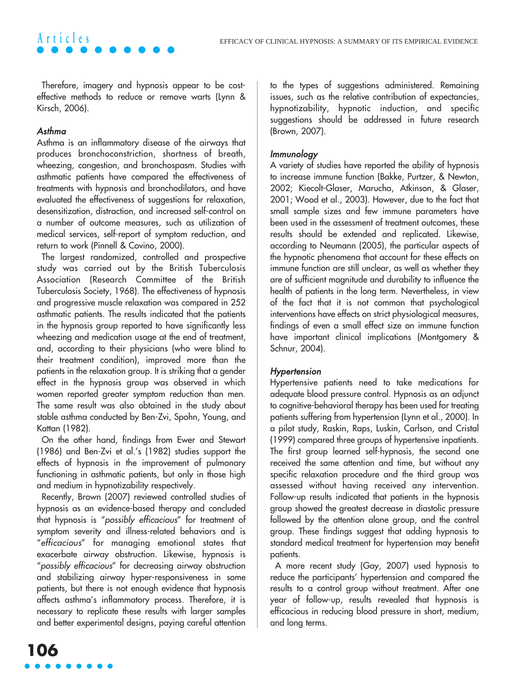Therefore, imagery and hypnosis appear to be costeffective methods to reduce or remove warts (Lynn & Kirsch, 2006).

#### Asthma

**Articles**

Asthma is an inflammatory disease of the airways that produces bronchoconstriction, shortness of breath, wheezing, congestion, and bronchospasm. Studies with asthmatic patients have compared the effectiveness of treatments with hypnosis and bronchodilators, and have evaluated the effectiveness of suggestions for relaxation, desensitization, distraction, and increased self-control on a number of outcome measures, such as utilization of medical services, self-report of symptom reduction, and return to work (Pinnell & Covino, 2000).

The largest randomized, controlled and prospective study was carried out by the British Tuberculosis Association (Research Committee of the British Tuberculosis Society, 1968). The effectiveness of hypnosis and progressive muscle relaxation was compared in 252 asthmatic patients. The results indicated that the patients in the hypnosis group reported to have significantly less wheezing and medication usage at the end of treatment, and, according to their physicians (who were blind to their treatment condition), improved more than the patients in the relaxation group. It is striking that a gender effect in the hypnosis group was observed in which women reported greater symptom reduction than men. The same result was also obtained in the study about stable asthma conducted by Ben-Zvi, Spohn, Young, and Kattan (1982).

On the other hand, findings from Ewer and Stewart (1986) and Ben-Zvi et al.'s (1982) studies support the effects of hypnosis in the improvement of pulmonary functioning in asthmatic patients, but only in those high and medium in hypnotizability respectively.

Recently, Brown (2007) reviewed controlled studies of hypnosis as an evidence-based therapy and concluded that hypnosis is "possibly efficacious" for treatment of symptom severity and illness-related behaviors and is "efficacious" for managing emotional states that exacerbate airway obstruction. Likewise, hypnosis is "possibly efficacious" for decreasing airway obstruction and stabilizing airway hyper-responsiveness in some patients, but there is not enough evidence that hypnosis affects asthma's inflammatory process. Therefore, it is necessary to replicate these results with larger samples and better experimental designs, paying careful attention

to the types of suggestions administered. Remaining issues, such as the relative contribution of expectancies, hypnotizability, hypnotic induction, and specific suggestions should be addressed in future research (Brown, 2007).

#### Immunology

A variety of studies have reported the ability of hypnosis to increase immune function (Bakke, Purtzer, & Newton, 2002; Kiecolt-Glaser, Marucha, Atkinson, & Glaser, 2001; Wood et al., 2003). However, due to the fact that small sample sizes and few immune parameters have been used in the assessment of treatment outcomes, these results should be extended and replicated. Likewise, according to Neumann (2005), the particular aspects of the hypnotic phenomena that account for these effects on immune function are still unclear, as well as whether they are of sufficient magnitude and durability to influence the health of patients in the long term. Nevertheless, in view of the fact that it is not common that psychological interventions have effects on strict physiological measures, findings of even a small effect size on immune function have important clinical implications (Montgomery & Schnur, 2004).

#### Hypertension

Hypertensive patients need to take medications for adequate blood pressure control. Hypnosis as an adjunct to cognitive-behavioral therapy has been used for treating patients suffering from hypertension (Lynn et al., 2000). In a pilot study, Raskin, Raps, Luskin, Carlson, and Cristal (1999) compared three groups of hypertensive inpatients. The first group learned self-hypnosis, the second one received the same attention and time, but without any specific relaxation procedure and the third group was assessed without having received any intervention. Follow-up results indicated that patients in the hypnosis group showed the greatest decrease in diastolic pressure followed by the attention alone group, and the control group. These findings suggest that adding hypnosis to standard medical treatment for hypertension may benefit patients.

A more recent study (Gay, 2007) used hypnosis to reduce the participants' hypertension and compared the results to a control group without treatment. After one year of follow-up, results revealed that hypnosis is efficacious in reducing blood pressure in short, medium, and long terms.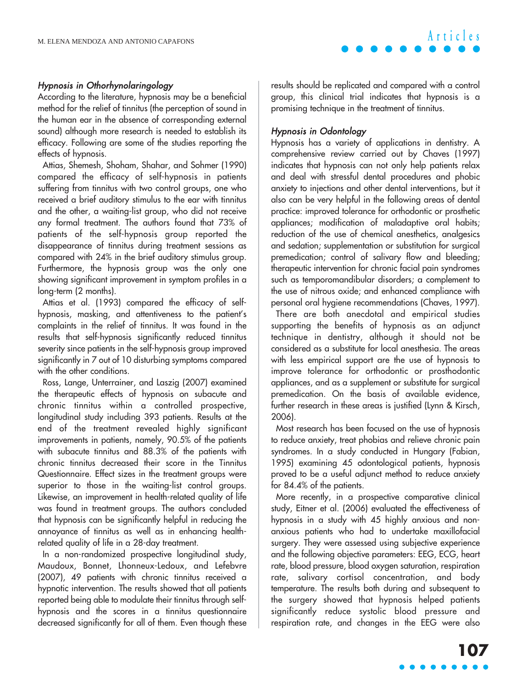#### Hypnosis in Othorhynolaringology

According to the literature, hypnosis may be a beneficial method for the relief of tinnitus (the perception of sound in the human ear in the absence of corresponding external sound) although more research is needed to establish its efficacy. Following are some of the studies reporting the effects of hypnosis.

Attias, Shemesh, Shoham, Shahar, and Sohmer (1990) compared the efficacy of self-hypnosis in patients suffering from tinnitus with two control groups, one who received a brief auditory stimulus to the ear with tinnitus and the other, a waiting-list group, who did not receive any formal treatment. The authors found that 73% of patients of the self-hypnosis group reported the disappearance of tinnitus during treatment sessions as compared with 24% in the brief auditory stimulus group. Furthermore, the hypnosis group was the only one showing significant improvement in symptom profiles in a long-term (2 months).

Attias et al. (1993) compared the efficacy of selfhypnosis, masking, and attentiveness to the patient's complaints in the relief of tinnitus. It was found in the results that self-hypnosis significantly reduced tinnitus severity since patients in the self-hypnosis group improved significantly in 7 out of 10 disturbing symptoms compared with the other conditions.

Ross, Lange, Unterrainer, and Laszig (2007) examined the therapeutic effects of hypnosis on subacute and chronic tinnitus within a controlled prospective, longitudinal study including 393 patients. Results at the end of the treatment revealed highly significant improvements in patients, namely, 90.5% of the patients with subacute tinnitus and 88.3% of the patients with chronic tinnitus decreased their score in the Tinnitus Questionnaire. Effect sizes in the treatment groups were superior to those in the waiting-list control groups. Likewise, an improvement in health-related quality of life was found in treatment groups. The authors concluded that hypnosis can be significantly helpful in reducing the annoyance of tinnitus as well as in enhancing healthrelated quality of life in a 28-day treatment.

In a non-randomized prospective longitudinal study, Maudoux, Bonnet, Lhonneux-Ledoux, and Lefebvre (2007), 49 patients with chronic tinnitus received a hypnotic intervention. The results showed that all patients reported being able to modulate their tinnitus through selfhypnosis and the scores in a tinnitus questionnaire decreased significantly for all of them. Even though these results should be replicated and compared with a control group, this clinical trial indicates that hypnosis is a promising technique in the treatment of tinnitus.

#### Hypnosis in Odontology

Hypnosis has a variety of applications in dentistry. A comprehensive review carried out by Chaves (1997) indicates that hypnosis can not only help patients relax and deal with stressful dental procedures and phobic anxiety to injections and other dental interventions, but it also can be very helpful in the following areas of dental practice: improved tolerance for orthodontic or prosthetic appliances; modification of maladaptive oral habits; reduction of the use of chemical anesthetics, analgesics and sedation; supplementation or substitution for surgical premedication; control of salivary flow and bleeding; therapeutic intervention for chronic facial pain syndromes such as temporomandibular disorders; a complement to the use of nitrous oxide; and enhanced compliance with personal oral hygiene recommendations (Chaves, 1997).

There are both anecdotal and empirical studies supporting the benefits of hypnosis as an adjunct technique in dentistry, although it should not be considered as a substitute for local anesthesia. The areas with less empirical support are the use of hypnosis to improve tolerance for orthodontic or prosthodontic appliances, and as a supplement or substitute for surgical premedication. On the basis of available evidence, further research in these areas is justified (Lynn & Kirsch, 2006).

Most research has been focused on the use of hypnosis to reduce anxiety, treat phobias and relieve chronic pain syndromes. In a study conducted in Hungary (Fabian, 1995) examining 45 odontological patients, hypnosis proved to be a useful adjunct method to reduce anxiety for 84.4% of the patients.

More recently, in a prospective comparative clinical study, Eitner et al. (2006) evaluated the effectiveness of hypnosis in a study with 45 highly anxious and nonanxious patients who had to undertake maxillofacial surgery. They were assessed using subjective experience and the following objective parameters: EEG, ECG, heart rate, blood pressure, blood oxygen saturation, respiration rate, salivary cortisol concentration, and body temperature. The results both during and subsequent to the surgery showed that hypnosis helped patients significantly reduce systolic blood pressure and respiration rate, and changes in the EEG were also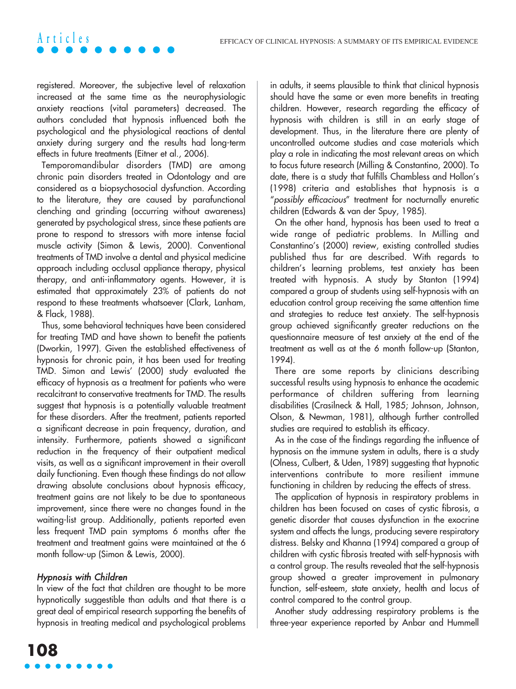registered. Moreover, the subjective level of relaxation increased at the same time as the neurophysiologic anxiety reactions (vital parameters) decreased. The authors concluded that hypnosis influenced both the psychological and the physiological reactions of dental anxiety during surgery and the results had long-term effects in future treatments (Eitner et al., 2006).

**Articles**

Temporomandibular disorders (TMD) are among chronic pain disorders treated in Odontology and are considered as a biopsychosocial dysfunction. According to the literature, they are caused by parafunctional clenching and grinding (occurring without awareness) generated by psychological stress, since these patients are prone to respond to stressors with more intense facial muscle activity (Simon & Lewis, 2000). Conventional treatments of TMD involve a dental and physical medicine approach including occlusal appliance therapy, physical therapy, and anti-inflammatory agents. However, it is estimated that approximately 23% of patients do not respond to these treatments whatsoever (Clark, Lanham, & Flack, 1988).

Thus, some behavioral techniques have been considered for treating TMD and have shown to benefit the patients (Dworkin, 1997). Given the established effectiveness of hypnosis for chronic pain, it has been used for treating TMD. Simon and Lewis' (2000) study evaluated the efficacy of hypnosis as a treatment for patients who were recalcitrant to conservative treatments for TMD. The results suggest that hypnosis is a potentially valuable treatment for these disorders. After the treatment, patients reported a significant decrease in pain frequency, duration, and intensity. Furthermore, patients showed a significant reduction in the frequency of their outpatient medical visits, as well as a significant improvement in their overall daily functioning. Even though these findings do not allow drawing absolute conclusions about hypnosis efficacy, treatment gains are not likely to be due to spontaneous improvement, since there were no changes found in the waiting-list group. Additionally, patients reported even less frequent TMD pain symptoms 6 months after the treatment and treatment gains were maintained at the 6 month follow-up (Simon & Lewis, 2000).

#### Hypnosis with Children

In view of the fact that children are thought to be more hypnotically suggestible than adults and that there is a great deal of empirical research supporting the benefits of hypnosis in treating medical and psychological problems

in adults, it seems plausible to think that clinical hypnosis should have the same or even more benefits in treating children. However, research regarding the efficacy of hypnosis with children is still in an early stage of development. Thus, in the literature there are plenty of uncontrolled outcome studies and case materials which play a role in indicating the most relevant areas on which to focus future research (Milling & Constantino, 2000). To date, there is a study that fulfills Chambless and Hollon's (1998) criteria and establishes that hypnosis is a "possibly efficacious" treatment for nocturnally enuretic children (Edwards & van der Spuy, 1985).

On the other hand, hypnosis has been used to treat a wide range of pediatric problems. In Milling and Constantino's (2000) review, existing controlled studies published thus far are described. With regards to children's learning problems, test anxiety has been treated with hypnosis. A study by Stanton (1994) compared a group of students using self-hypnosis with an education control group receiving the same attention time and strategies to reduce test anxiety. The self-hypnosis group achieved significantly greater reductions on the questionnaire measure of test anxiety at the end of the treatment as well as at the 6 month follow-up (Stanton, 1994).

There are some reports by clinicians describing successful results using hypnosis to enhance the academic performance of children suffering from learning disabilities (Crasilneck & Hall, 1985; Johnson, Johnson, Olson, & Newman, 1981), although further controlled studies are required to establish its efficacy.

As in the case of the findings regarding the influence of hypnosis on the immune system in adults, there is a study (Olness, Culbert, & Uden, 1989) suggesting that hypnotic interventions contribute to more resilient immune functioning in children by reducing the effects of stress.

The application of hypnosis in respiratory problems in children has been focused on cases of cystic fibrosis, a genetic disorder that causes dysfunction in the exocrine system and affects the lungs, producing severe respiratory distress. Belsky and Khanna (1994) compared a group of children with cystic fibrosis treated with self-hypnosis with a control group. The results revealed that the self-hypnosis group showed a greater improvement in pulmonary function, self-esteem, state anxiety, health and locus of control compared to the control group.

Another study addressing respiratory problems is the three-year experience reported by Anbar and Hummell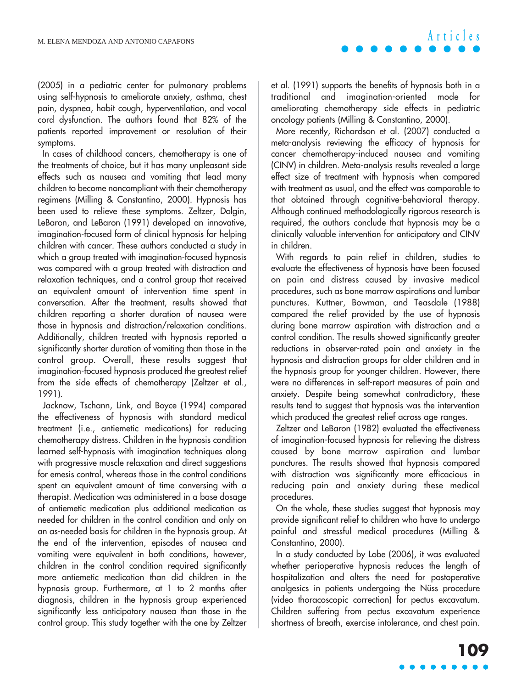(2005) in a pediatric center for pulmonary problems using self-hypnosis to ameliorate anxiety, asthma, chest pain, dyspnea, habit cough, hyperventilation, and vocal cord dysfunction. The authors found that 82% of the patients reported improvement or resolution of their symptoms.

In cases of childhood cancers, chemotherapy is one of the treatments of choice, but it has many unpleasant side effects such as nausea and vomiting that lead many children to become noncompliant with their chemotherapy regimens (Milling & Constantino, 2000). Hypnosis has been used to relieve these symptoms. Zeltzer, Dolgin, LeBaron, and LeBaron (1991) developed an innovative, imagination-focused form of clinical hypnosis for helping children with cancer. These authors conducted a study in which a group treated with imagination-focused hypnosis was compared with a group treated with distraction and relaxation techniques, and a control group that received an equivalent amount of intervention time spent in conversation. After the treatment, results showed that children reporting a shorter duration of nausea were those in hypnosis and distraction/relaxation conditions. Additionally, children treated with hypnosis reported a significantly shorter duration of vomiting than those in the control group. Overall, these results suggest that imagination-focused hypnosis produced the greatest relief from the side effects of chemotherapy (Zeltzer et al., 1991).

Jacknow, Tschann, Link, and Boyce (1994) compared the effectiveness of hypnosis with standard medical treatment (i.e., antiemetic medications) for reducing chemotherapy distress. Children in the hypnosis condition learned self-hypnosis with imagination techniques along with progressive muscle relaxation and direct suggestions for emesis control, whereas those in the control conditions spent an equivalent amount of time conversing with a therapist. Medication was administered in a base dosage of antiemetic medication plus additional medication as needed for children in the control condition and only on an as-needed basis for children in the hypnosis group. At the end of the intervention, episodes of nausea and vomiting were equivalent in both conditions, however, children in the control condition required significantly more antiemetic medication than did children in the hypnosis group. Furthermore, at 1 to 2 months after diagnosis, children in the hypnosis group experienced significantly less anticipatory nausea than those in the control group. This study together with the one by Zeltzer

et al. (1991) supports the benefits of hypnosis both in a traditional and imagination-oriented mode for ameliorating chemotherapy side effects in pediatric oncology patients (Milling & Constantino, 2000).

More recently, Richardson et al. (2007) conducted a meta-analysis reviewing the efficacy of hypnosis for cancer chemotherapy-induced nausea and vomiting (CINV) in children. Meta-analysis results revealed a large effect size of treatment with hypnosis when compared with treatment as usual, and the effect was comparable to that obtained through cognitive-behavioral therapy. Although continued methodologically rigorous research is required, the authors conclude that hypnosis may be a clinically valuable intervention for anticipatory and CINV in children.

With regards to pain relief in children, studies to evaluate the effectiveness of hypnosis have been focused on pain and distress caused by invasive medical procedures, such as bone marrow aspirations and lumbar punctures. Kuttner, Bowman, and Teasdale (1988) compared the relief provided by the use of hypnosis during bone marrow aspiration with distraction and a control condition. The results showed significantly greater reductions in observer-rated pain and anxiety in the hypnosis and distraction groups for older children and in the hypnosis group for younger children. However, there were no differences in self-report measures of pain and anxiety. Despite being somewhat contradictory, these results tend to suggest that hypnosis was the intervention which produced the greatest relief across age ranges.

Zeltzer and LeBaron (1982) evaluated the effectiveness of imagination-focused hypnosis for relieving the distress caused by bone marrow aspiration and lumbar punctures. The results showed that hypnosis compared with distraction was significantly more efficacious in reducing pain and anxiety during these medical procedures.

On the whole, these studies suggest that hypnosis may provide significant relief to children who have to undergo painful and stressful medical procedures (Milling & Constantino, 2000).

In a study conducted by Lobe (2006), it was evaluated whether perioperative hypnosis reduces the length of hospitalization and alters the need for postoperative analgesics in patients undergoing the Nüss procedure (video thoracoscopic correction) for pectus excavatum. Children suffering from pectus excavatum experience shortness of breath, exercise intolerance, and chest pain.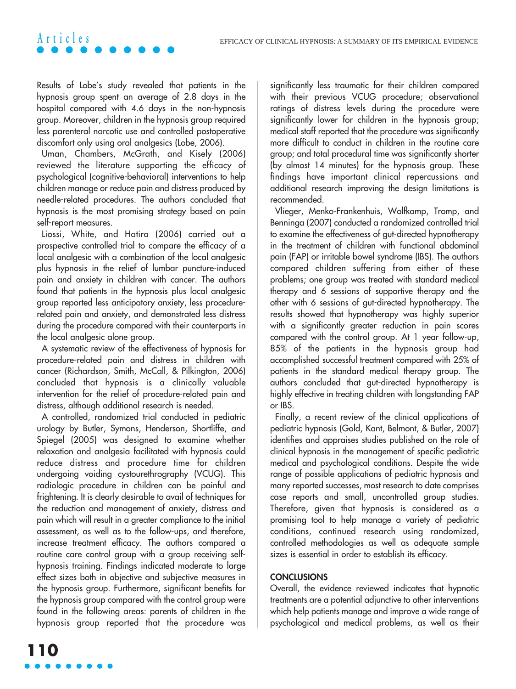Results of Lobe's study revealed that patients in the hypnosis group spent an average of 2.8 days in the hospital compared with 4.6 days in the non-hypnosis group. Moreover, children in the hypnosis group required less parenteral narcotic use and controlled postoperative discomfort only using oral analgesics (Lobe, 2006).

**Articles**

Uman, Chambers, McGrath, and Kisely (2006) reviewed the literature supporting the efficacy of psychological (cognitive-behavioral) interventions to help children manage or reduce pain and distress produced by needle-related procedures. The authors concluded that hypnosis is the most promising strategy based on pain self-report measures.

Liossi, White, and Hatira (2006) carried out a prospective controlled trial to compare the efficacy of a local analgesic with a combination of the local analgesic plus hypnosis in the relief of lumbar puncture-induced pain and anxiety in children with cancer. The authors found that patients in the hypnosis plus local analgesic group reported less anticipatory anxiety, less procedurerelated pain and anxiety, and demonstrated less distress during the procedure compared with their counterparts in the local analgesic alone group.

A systematic review of the effectiveness of hypnosis for procedure-related pain and distress in children with cancer (Richardson, Smith, McCall, & Pilkington, 2006) concluded that hypnosis is a clinically valuable intervention for the relief of procedure-related pain and distress, although additional research is needed.

A controlled, randomized trial conducted in pediatric urology by Butler, Symons, Henderson, Shortliffe, and Spiegel (2005) was designed to examine whether relaxation and analgesia facilitated with hypnosis could reduce distress and procedure time for children undergoing voiding cystourethrography (VCUG). This radiologic procedure in children can be painful and frightening. It is clearly desirable to avail of techniques for the reduction and management of anxiety, distress and pain which will result in a greater compliance to the initial assessment, as well as to the follow-ups, and therefore, increase treatment efficacy. The authors compared a routine care control group with a group receiving selfhypnosis training. Findings indicated moderate to large effect sizes both in objective and subjective measures in the hypnosis group. Furthermore, significant benefits for the hypnosis group compared with the control group were found in the following areas: parents of children in the hypnosis group reported that the procedure was significantly less traumatic for their children compared with their previous VCUG procedure; observational ratings of distress levels during the procedure were significantly lower for children in the hypnosis group; medical staff reported that the procedure was significantly more difficult to conduct in children in the routine care group; and total procedural time was significantly shorter (by almost 14 minutes) for the hypnosis group. These findings have important clinical repercussions and additional research improving the design limitations is recommended.

Vlieger, Menko-Frankenhuis, Wolfkamp, Tromp, and Benninga (2007) conducted a randomized controlled trial to examine the effectiveness of gut-directed hypnotherapy in the treatment of children with functional abdominal pain (FAP) or irritable bowel syndrome (IBS). The authors compared children suffering from either of these problems; one group was treated with standard medical therapy and 6 sessions of supportive therapy and the other with 6 sessions of gut-directed hypnotherapy. The results showed that hypnotherapy was highly superior with a significantly greater reduction in pain scores compared with the control group. At 1 year follow-up, 85% of the patients in the hypnosis group had accomplished successful treatment compared with 25% of patients in the standard medical therapy group. The authors concluded that gut-directed hypnotherapy is highly effective in treating children with longstanding FAP or IBS.

Finally, a recent review of the clinical applications of pediatric hypnosis (Gold, Kant, Belmont, & Butler, 2007) identifies and appraises studies published on the role of clinical hypnosis in the management of specific pediatric medical and psychological conditions. Despite the wide range of possible applications of pediatric hypnosis and many reported successes, most research to date comprises case reports and small, uncontrolled group studies. Therefore, given that hypnosis is considered as a promising tool to help manage a variety of pediatric conditions, continued research using randomized, controlled methodologies as well as adequate sample sizes is essential in order to establish its efficacy.

#### **CONCLUSIONS**

Overall, the evidence reviewed indicates that hypnotic treatments are a potential adjunctive to other interventions which help patients manage and improve a wide range of psychological and medical problems, as well as their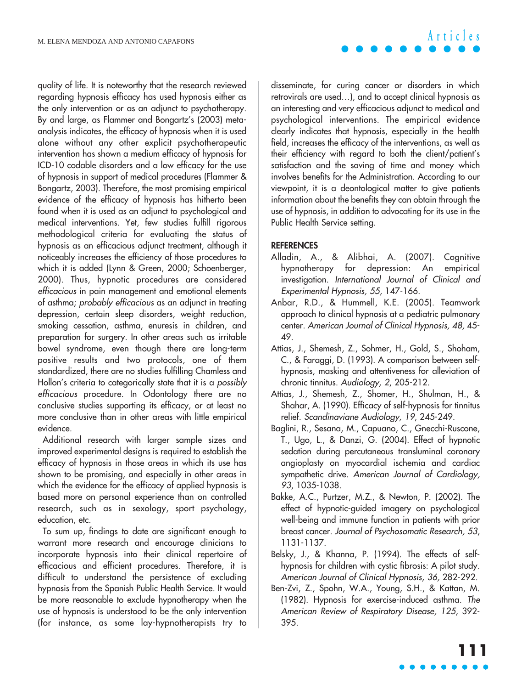quality of life. It is noteworthy that the research reviewed regarding hypnosis efficacy has used hypnosis either as the only intervention or as an adjunct to psychotherapy. By and large, as Flammer and Bongartz's (2003) metaanalysis indicates, the efficacy of hypnosis when it is used alone without any other explicit psychotherapeutic intervention has shown a medium efficacy of hypnosis for ICD-10 codable disorders and a low efficacy for the use of hypnosis in support of medical procedures (Flammer & Bongartz, 2003). Therefore, the most promising empirical evidence of the efficacy of hypnosis has hitherto been found when it is used as an adjunct to psychological and medical interventions. Yet, few studies fulfill rigorous methodological criteria for evaluating the status of hypnosis as an efficacious adjunct treatment, although it noticeably increases the efficiency of those procedures to which it is added (Lynn & Green, 2000; Schoenberger, 2000). Thus, hypnotic procedures are considered efficacious in pain management and emotional elements of asthma; probably efficacious as an adjunct in treating depression, certain sleep disorders, weight reduction, smoking cessation, asthma, enuresis in children, and preparation for surgery. In other areas such as irritable bowel syndrome, even though there are long-term positive results and two protocols, one of them standardized, there are no studies fulfilling Chamless and Hollon's criteria to categorically state that it is a possibly efficacious procedure. In Odontology there are no conclusive studies supporting its efficacy, or at least no more conclusive than in other areas with little empirical evidence.

Additional research with larger sample sizes and improved experimental designs is required to establish the efficacy of hypnosis in those areas in which its use has shown to be promising, and especially in other areas in which the evidence for the efficacy of applied hypnosis is based more on personal experience than on controlled research, such as in sexology, sport psychology, education, etc.

To sum up, findings to date are significant enough to warrant more research and encourage clinicians to incorporate hypnosis into their clinical repertoire of efficacious and efficient procedures. Therefore, it is difficult to understand the persistence of excluding hypnosis from the Spanish Public Health Service. It would be more reasonable to exclude hypnotherapy when the use of hypnosis is understood to be the only intervention (for instance, as some lay-hypnotherapists try to

disseminate, for curing cancer or disorders in which retrovirals are used…), and to accept clinical hypnosis as an interesting and very efficacious adjunct to medical and psychological interventions. The empirical evidence clearly indicates that hypnosis, especially in the health field, increases the efficacy of the interventions, as well as their efficiency with regard to both the client/patient's satisfaction and the saving of time and money which involves benefits for the Administration. According to our viewpoint, it is a deontological matter to give patients information about the benefits they can obtain through the use of hypnosis, in addition to advocating for its use in the Public Health Service setting.

#### **REFERENCES**

- Alladin, A., & Alibhai, A. (2007). Cognitive hypnotherapy for depression: An empirical investigation. International Journal of Clinical and Experimental Hypnosis, 55, 147-166.
- Anbar, R.D., & Hummell, K.E. (2005). Teamwork approach to clinical hypnosis at a pediatric pulmonary center. American Journal of Clinical Hypnosis, 48, 45- 49.
- Attias, J., Shemesh, Z., Sohmer, H., Gold, S., Shoham, C., & Faraggi, D. (1993). A comparison between selfhypnosis, masking and attentiveness for alleviation of chronic tinnitus. Audiology, 2, 205-212.
- Attias, J., Shemesh, Z., Shomer, H., Shulman, H., & Shahar, A. (1990). Efficacy of self-hypnosis for tinnitus relief. Scandinaviane Audiology, 19, 245-249.
- Baglini, R., Sesana, M., Capuano, C., Gnecchi-Ruscone, T., Ugo, L., & Danzi, G. (2004). Effect of hypnotic sedation during percutaneous transluminal coronary angioplasty on myocardial ischemia and cardiac sympathetic drive. American Journal of Cardiology, 93, 1035-1038.
- Bakke, A.C., Purtzer, M.Z., & Newton, P. (2002). The effect of hypnotic-guided imagery on psychological well-being and immune function in patients with prior breast cancer. Journal of Psychosomatic Research, 53, 1131-1137.
- Belsky, J., & Khanna, P. (1994). The effects of selfhypnosis for children with cystic fibrosis: A pilot study. American Journal of Clinical Hypnosis, 36, 282-292.
- Ben-Zvi, Z., Spohn, W.A., Young, S.H., & Kattan, M. (1982). Hypnosis for exercise-induced asthma. The American Review of Respiratory Disease, 125, 392- 395.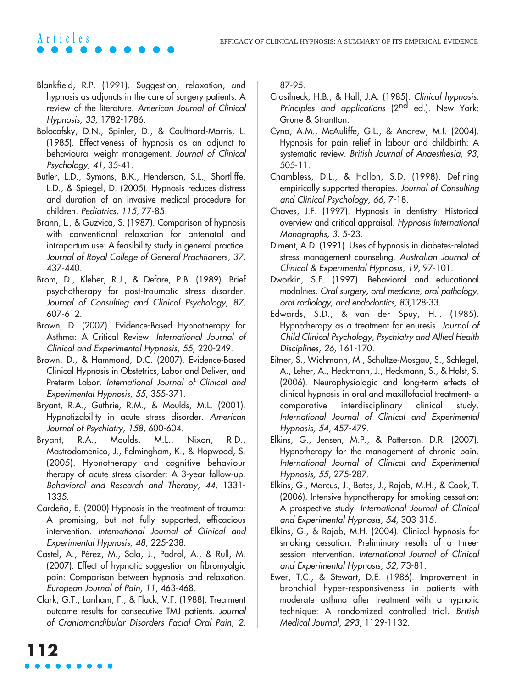- Blankfield, R.P. (1991). Suggestion, relaxation, and hypnosis as adjuncts in the care of surgery patients: A review of the literature. American Journal of Clinical Hypnosis, 33, 1782-1786.
- Bolocofsky, D.N., Spinler, D., & Coulthard-Morris, L. (1985). Effectiveness of hypnosis as an adjunct to behavioural weight management. Journal of Clinical Psychology, 41, 35-41.
- Butler, L.D., Symons, B.K., Henderson, S.L., Shortliffe, L.D., & Spiegel, D. (2005). Hypnosis reduces distress and duration of an invasive medical procedure for children. Pediatrics, 115, 77-85.
- Brann, L., & Guzvica, S. (1987). Comparison of hypnosis with conventional relaxation for antenatal and intrapartum use: A feasibility study in general practice. Journal of Royal College of General Practitioners, 37, 437-440.
- Brom, D., Kleber, R.J., & Defare, P.B. (1989). Brief psychotherapy for post-traumatic stress disorder. Journal of Consulting and Clinical Psychology, 87, 607-612.
- Brown, D. (2007). Evidence-Based Hypnotherapy for Asthma: A Critical Review. International Journal of Clinical and Experimental Hypnosis, 55, 220-249.
- Brown, D., & Hammond, D.C. (2007). Evidence-Based Clinical Hypnosis in Obstetrics, Labor and Deliver, and Preterm Labor. International Journal of Clinical and Experimental Hypnosis, 55, 355-371.
- Bryant, R.A., Guthrie, R.M., & Moulds, M.L. (2001). Hypnotizability in acute stress disorder. American Journal of Psychiatry, 158, 600-604.
- Bryant, R.A., Moulds, M.L., Nixon, R.D., Mastrodomenico, J., Felmingham, K., & Hopwood, S. (2005). Hypnotherapy and cognitive behaviour therapy of acute stress disorder: A 3-year follow-up. Behavioral and Research and Therapy, 44, 1331- 1335.
- Cardeña, E. (2000) Hypnosis in the treatment of trauma: A promising, but not fully supported, efficacious intervention. International Journal of Clinical and Experimental Hypnosis, 48, 225-238.
- Castel, A., Pérez, M., Sala, J., Padrol, A., & Rull, M. (2007). Effect of hypnotic suggestion on fibromyalgic pain: Comparison between hypnosis and relaxation. European Journal of Pain, 11, 463-468.
- Clark, G.T., Lanham, F., & Flack, V.F. (1988). Treatment outcome results for consecutive TMJ patients. Journal of Craniomandibular Disorders Facial Oral Pain, 2,

87-95.

- Crasilneck, H.B., & Hall, J.A. (1985). Clinical hypnosis: Principles and applications (2<sup>nd</sup> ed.). New York: Grune & Strantton.
- Cyna, A.M., McAuliffe, G.L., & Andrew, M.I. (2004). Hypnosis for pain relief in labour and childbirth: A systematic review. British Journal of Anaesthesia, 93, 505-11.
- Chambless, D.L., & Hollon, S.D. (1998). Defining empirically supported therapies. Journal of Consulting and Clinical Psychology, 66, 7-18.
- Chaves, J.F. (1997). Hypnosis in dentistry: Historical overview and critical appraisal. Hypnosis International Monographs, 3, 5-23.
- Diment, A.D. (1991). Uses of hypnosis in diabetes-related stress management counseling. Australian Journal of Clinical & Experimental Hypnosis, 19, 97-101.
- Dworkin, S.F. (1997). Behavioral and educational modalities. Oral surgery, oral medicine, oral pathology, oral radiology, and endodontics, 83,128-33.
- Edwards, S.D., & van der Spuy, H.I. (1985). Hypnotherapy as a treatment for enuresis. Journal of Child Clinical Psychology, Psychiatry and Allied Health Disciplines, 26, 161-170.
- Eitner, S., Wichmann, M., Schultze-Mosgau, S., Schlegel, A., Leher, A., Heckmann, J., Heckmann, S., & Holst, S. (2006). Neurophysiologic and long-term effects of clinical hypnosis in oral and maxillofacial treatment- a comparative interdisciplinary clinical study. International Journal of Clinical and Experimental Hypnosis, 54, 457-479.
- Elkins, G., Jensen, M.P., & Patterson, D.R. (2007). Hypnotherapy for the management of chronic pain. International Journal of Clinical and Experimental Hypnosis, 55, 275-287.
- Elkins, G., Marcus, J., Bates, J., Rajab, M.H., & Cook, T. (2006). Intensive hypnotherapy for smoking cessation: A prospective study. International Journal of Clinical and Experimental Hypnosis, 54, 303-315.
- Elkins, G., & Rajab, M.H. (2004). Clinical hypnosis for smoking cessation: Preliminary results of a threesession intervention. International Journal of Clinical and Experimental Hypnosis, 52, 73-81.
- Ewer, T.C., & Stewart, D.E. (1986). Improvement in bronchial hyper-responsiveness in patients with moderate asthma after treatment with a hypnotic technique: A randomized controlled trial. British Medical Journal, 293, 1129-1132.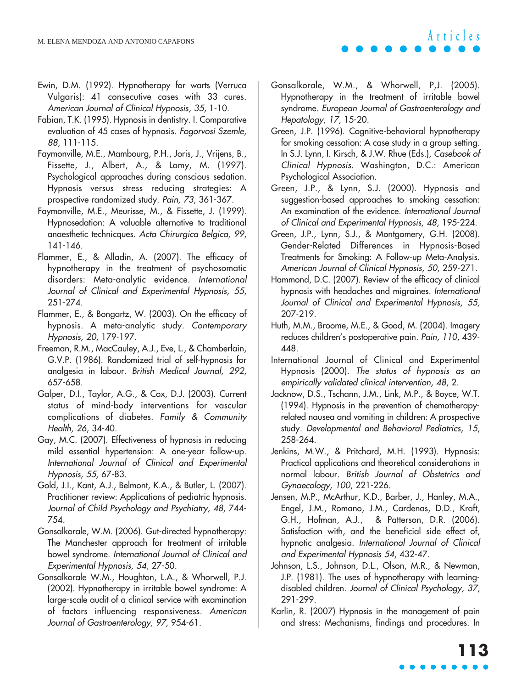- Ewin, D.M. (1992). Hypnotherapy for warts (Verruca Vulgaris): 41 consecutive cases with 33 cures. American Journal of Clinical Hypnosis, 35, 1-10.
- Fabian, T.K. (1995). Hypnosis in dentistry. I. Comparative evaluation of 45 cases of hypnosis. Fogorvosi Szemle, 88, 111-115.
- Faymonville, M.E., Mambourg, P.H., Joris, J., Vrijens, B., Fissette, J., Albert, A., & Lamy, M. (1997). Psychological approaches during conscious sedation. Hypnosis versus stress reducing strategies: A prospective randomized study. Pain, 73, 361-367.
- Faymonville, M.E., Meurisse, M., & Fissette, J. (1999). Hypnosedation: A valuable alternative to traditional anaesthetic technicques. Acta Chirurgica Belgica, 99, 141-146.
- Flammer, E., & Alladin, A. (2007). The efficacy of hypnotherapy in the treatment of psychosomatic disorders: Meta-analytic evidence. International Journal of Clinical and Experimental Hypnosis, 55, 251-274.
- Flammer, E., & Bongartz, W. (2003). On the efficacy of hypnosis. A meta-analytic study. Contemporary Hypnosis, 20, 179-197.
- Freeman, R.M., MacCauley, A.J., Eve, L., & Chamberlain, G.V.P. (1986). Randomized trial of self-hypnosis for analgesia in labour. British Medical Journal, 292, 657-658.
- Galper, D.I., Taylor, A.G., & Cox, D.J. (2003). Current status of mind-body interventions for vascular complications of diabetes. Family & Community Health, 26, 34-40.
- Gay, M.C. (2007). Effectiveness of hypnosis in reducing mild essential hypertension: A one-year follow-up. International Journal of Clinical and Experimental Hypnosis, 55, 67-83.
- Gold, J.I., Kant, A.J., Belmont, K.A., & Butler, L. (2007). Practitioner review: Applications of pediatric hypnosis. Journal of Child Psychology and Psychiatry, 48, 744- 754.
- Gonsalkorale, W.M. (2006). Gut-directed hypnotherapy: The Manchester approach for treatment of irritable bowel syndrome. International Journal of Clinical and Experimental Hypnosis, 54, 27-50.
- Gonsalkorale W.M., Houghton, L.A., & Whorwell, P.J. (2002). Hypnotherapy in irritable bowel syndrome: A large-scale audit of a clinical service with examination of factors influencing responsiveness. American Journal of Gastroenterology, 97, 954-61.
- Gonsalkorale, W.M., & Whorwell, P,J. (2005). Hypnotherapy in the treatment of irritable bowel syndrome. European Journal of Gastroenterology and Hepatology, 17, 15-20.
- Green, J.P. (1996). Cognitive-behavioral hypnotherapy for smoking cessation: A case study in a group setting. In S.J. Lynn, I. Kirsch, & J.W. Rhue (Eds.), Casebook of Clinical Hypnosis. Washington, D.C.: American Psychological Association.
- Green, J.P., & Lynn, S.J. (2000). Hypnosis and suggestion-based approaches to smoking cessation: An examination of the evidence. International Journal of Clinical and Experimental Hypnosis, 48, 195-224.
- Green, J.P., Lynn, S.J., & Montgomery, G.H. (2008). Gender-Related Differences in Hypnosis-Based Treatments for Smoking: A Follow-up Meta-Analysis. American Journal of Clinical Hypnosis, 50, 259-271.
- Hammond, D.C. (2007). Review of the efficacy of clinical hypnosis with headaches and migraines. International Journal of Clinical and Experimental Hypnosis, 55, 207-219.
- Huth, M.M., Broome, M.E., & Good, M. (2004). Imagery reduces children's postoperative pain. Pain, 110, 439- 448.
- International Journal of Clinical and Experimental Hypnosis (2000). The status of hypnosis as an empirically validated clinical intervention, 48, 2.
- Jacknow, D.S., Tschann, J.M., Link, M.P., & Boyce, W.T. (1994). Hypnosis in the prevention of chemotherapyrelated nausea and vomiting in children: A prospective study. Developmental and Behavioral Pediatrics, 15, 258-264.
- Jenkins, M.W., & Pritchard, M.H. (1993). Hypnosis: Practical applications and theoretical considerations in normal labour. British Journal of Obstetrics and Gynaecology, 100, 221-226.
- Jensen, M.P., McArthur, K.D., Barber, J., Hanley, M.A., Engel, J.M., Romano, J.M., Cardenas, D.D., Kraft, G.H., Hofman, A.J., & Patterson, D.R. (2006). Satisfaction with, and the beneficial side effect of, hypnotic analgesia. International Journal of Clinical and Experimental Hypnosis 54, 432-47.
- Johnson, L.S., Johnson, D.L., Olson, M.R., & Newman, J.P. (1981). The uses of hypnotherapy with learningdisabled children. Journal of Clinical Psychology, 37, 291-299.
- Karlin, R. (2007) Hypnosis in the management of pain and stress: Mechanisms, findings and procedures. In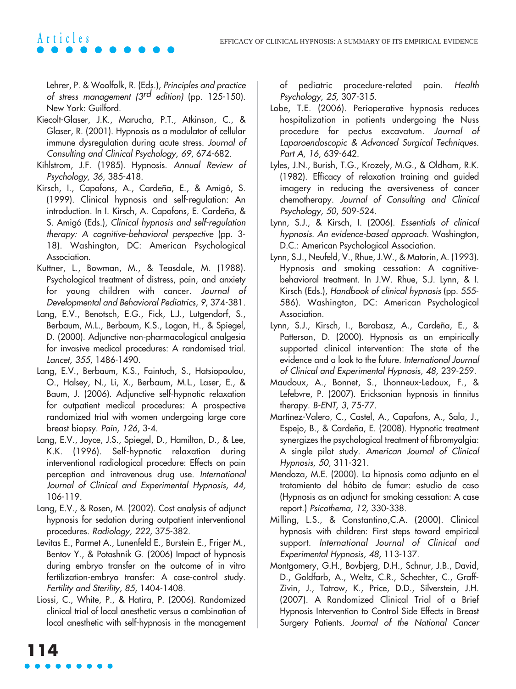Lehrer, P. & Woolfolk, R. (Eds.), Principles and practice of stress management ( $3<sup>rd</sup>$  edition) (pp. 125-150). New York: Guilford.

- Kiecolt-Glaser, J.K., Marucha, P.T., Atkinson, C., & Glaser, R. (2001). Hypnosis as a modulator of cellular immune dysregulation during acute stress. Journal of Consulting and Clinical Psychology, 69, 674-682.
- Kihlstrom, J.F. (1985). Hypnosis. Annual Review of Psychology, 36, 385-418.
- Kirsch, I., Capafons, A., Cardeña, E., & Amigó, S. (1999). Clinical hypnosis and self-regulation: An introduction. In I. Kirsch, A. Capafons, E. Cardeña, & S. Amigó (Eds.), Clinical hypnosis and self-regulation therapy: A cognitive-behavioral perspective (pp. 3- 18). Washington, DC: American Psychological Association.
- Kuttner, L., Bowman, M., & Teasdale, M. (1988). Psychological treatment of distress, pain, and anxiety for young children with cancer. Journal of Developmental and Behavioral Pediatrics, 9, 374-381.
- Lang, E.V., Benotsch, E.G., Fick, L.J., Lutgendorf, S., Berbaum, M.L., Berbaum, K.S., Logan, H., & Spiegel, D. (2000). Adjunctive non-pharmacological analgesia for invasive medical procedures: A randomised trial. Lancet, 355, 1486-1490.
- Lang, E.V., Berbaum, K.S., Faintuch, S., Hatsiopoulou, O., Halsey, N., Li, X., Berbaum, M.L., Laser, E., & Baum, J. (2006). Adjunctive self-hypnotic relaxation for outpatient medical procedures: A prospective randomized trial with women undergoing large core breast biopsy. Pain, 126, 3-4.
- Lang, E.V., Joyce, J.S., Spiegel, D., Hamilton, D., & Lee, K.K. (1996). Self-hypnotic relaxation during interventional radiological procedure: Effects on pain perception and intravenous drug use. International Journal of Clinical and Experimental Hypnosis, 44, 106-119.
- Lang, E.V., & Rosen, M. (2002). Cost analysis of adjunct hypnosis for sedation during outpatient interventional procedures. Radiology, 222, 375-382.
- Levitas E., Parmet A., Lunenfeld E., Burstein E., Friger M., Bentov Y., & Potashnik G. (2006) Impact of hypnosis during embryo transfer on the outcome of in vitro fertilization-embryo transfer: A case-control study. Fertility and Sterility, 85, 1404-1408.
- Liossi, C., White, P., & Hatira, P. (2006). Randomized clinical trial of local anesthetic versus a combination of local anesthetic with self-hypnosis in the management

of pediatric procedure-related pain. Health Psychology, 25, 307-315.

- Lobe, T.E. (2006). Perioperative hypnosis reduces hospitalization in patients undergoing the Nuss procedure for pectus excavatum. Journal of Laparoendoscopic & Advanced Surgical Techniques. Part A, 16, 639-642.
- Lyles, J.N., Burish, T.G., Krozely, M.G., & Oldham, R.K. (1982). Efficacy of relaxation training and guided imagery in reducing the aversiveness of cancer chemotherapy. Journal of Consulting and Clinical Psychology, 50, 509-524.
- Lynn, S.J., & Kirsch, I. (2006). Essentials of clinical hypnosis. An evidence-based approach. Washington, D.C.: American Psychological Association.
- Lynn, S.J., Neufeld, V., Rhue, J.W., & Matorin, A. (1993). Hypnosis and smoking cessation: A cognitivebehavioral treatment. In J.W. Rhue, S.J. Lynn, & I. Kirsch (Eds.), Handbook of clinical hypnosis (pp. 555- 586). Washington, DC: American Psychological Association.
- Lynn, S.J., Kirsch, I., Barabasz, A., Cardeña, E., & Patterson, D. (2000). Hypnosis as an empirically supported clinical intervention: The state of the evidence and a look to the future. International Journal of Clinical and Experimental Hypnosis, 48, 239-259.
- Maudoux, A., Bonnet, S., Lhonneux-Ledoux, F., & Lefebvre, P. (2007). Ericksonian hypnosis in tinnitus therapy. B-ENT, 3, 75-77.
- Martínez-Valero, C., Castel, A., Capafons, A., Sala, J., Espejo, B., & Cardeña, E. (2008). Hypnotic treatment synergizes the psychological treatment of fibromyalgia: A single pilot study. American Journal of Clinical Hypnosis, 50, 311-321.
- Mendoza, M.E. (2000). La hipnosis como adjunto en el tratamiento del hábito de fumar: estudio de caso (Hypnosis as an adjunct for smoking cessation: A case report.) Psicothema, 12, 330-338.
- Milling, L.S., & Constantino,C.A. (2000). Clinical hypnosis with children: First steps toward empirical support. International Journal of Clinical and Experimental Hypnosis, 48, 113-137.
- Montgomery, G.H., Bovbjerg, D.H., Schnur, J.B., David, D., Goldfarb, A., Weltz, C.R., Schechter, C., Graff-Zivin, J., Tatrow, K., Price, D.D., Silverstein, J.H. (2007). A Randomized Clinical Trial of a Brief Hypnosis Intervention to Control Side Effects in Breast Surgery Patients. Journal of the National Cancer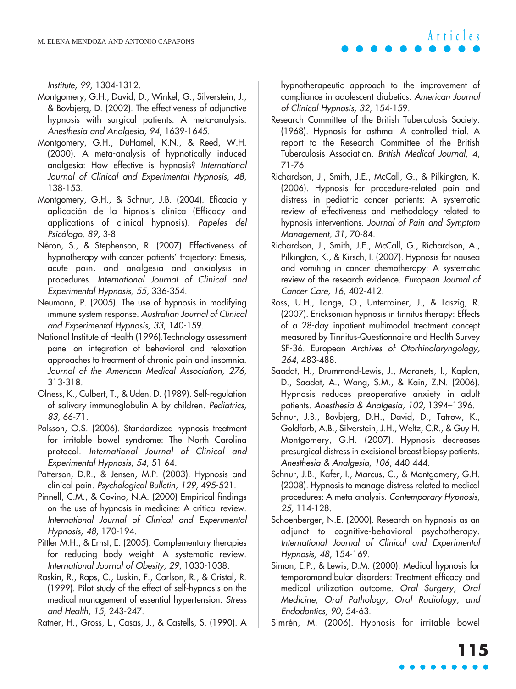Institute, 99, 1304-1312.

- Montgomery, G.H., David, D., Winkel, G., Silverstein, J., & Bovbjerg, D. (2002). The effectiveness of adjunctive hypnosis with surgical patients: A meta-analysis. Anesthesia and Analgesia, 94, 1639-1645.
- Montgomery, G.H., DuHamel, K.N., & Reed, W.H. (2000). A meta-analysis of hypnotically induced analgesia: How effective is hypnosis? International Journal of Clinical and Experimental Hypnosis, 48, 138-153.
- Montgomery, G.H., & Schnur, J.B. (2004). Eficacia y aplicación de la hipnosis clínica (Efficacy and applications of clinical hypnosis). Papeles del Psicólogo, 89, 3-8.
- Néron, S., & Stephenson, R. (2007). Effectiveness of hypnotherapy with cancer patients' trajectory: Emesis, acute pain, and analgesia and anxiolysis in procedures. International Journal of Clinical and Experimental Hypnosis, 55, 336-354.
- Neumann, P. (2005). The use of hypnosis in modifying immune system response. Australian Journal of Clinical and Experimental Hypnosis, 33, 140-159.
- National Institute of Health (1996).Technology assessment panel on integration of behavioral and relaxation approaches to treatment of chronic pain and insomnia. Journal of the American Medical Association, 276, 313-318.
- Olness, K., Culbert, T., & Uden, D. (1989). Self-regulation of salivary immunoglobulin A by children. Pediatrics, 83, 66-71.
- Palsson, O.S. (2006). Standardized hypnosis treatment for irritable bowel syndrome: The North Carolina protocol. International Journal of Clinical and Experimental Hypnosis, 54, 51-64.
- Patterson, D.R., & Jensen, M.P. (2003). Hypnosis and clinical pain. Psychological Bulletin, 129, 495-521.
- Pinnell, C.M., & Covino, N.A. (2000) Empirical findings on the use of hypnosis in medicine: A critical review. International Journal of Clinical and Experimental Hypnosis, 48, 170-194.
- Pittler M.H., & Ernst, E. (2005). Complementary therapies for reducing body weight: A systematic review. International Journal of Obesity, 29, 1030-1038.
- Raskin, R., Raps, C., Luskin, F., Carlson, R., & Cristal, R. (1999). Pilot study of the effect of self-hypnosis on the medical management of essential hypertension. Stress and Health, 15, 243-247.
- Ratner, H., Gross, L., Casas, J., & Castells, S. (1990). A

hypnotherapeutic approach to the improvement of compliance in adolescent diabetics. American Journal of Clinical Hypnosis, 32, 154-159.

- Research Committee of the British Tuberculosis Society. (1968). Hypnosis for asthma: A controlled trial. A report to the Research Committee of the British Tuberculosis Association. British Medical Journal, 4, 71-76.
- Richardson, J., Smith, J.E., McCall, G., & Pilkington, K. (2006). Hypnosis for procedure-related pain and distress in pediatric cancer patients: A systematic review of effectiveness and methodology related to hypnosis interventions. Journal of Pain and Symptom Management, 31, 70-84.
- Richardson, J., Smith, J.E., McCall, G., Richardson, A., Pilkington, K., & Kirsch, I. (2007). Hypnosis for nausea and vomiting in cancer chemotherapy: A systematic review of the research evidence. European Journal of Cancer Care, 16, 402-412.
- Ross, U.H., Lange, O., Unterrainer, J., & Laszig, R. (2007). Ericksonian hypnosis in tinnitus therapy: Effects of a 28-day inpatient multimodal treatment concept measured by Tinnitus-Questionnaire and Health Survey SF-36. European Archives of Otorhinolaryngology, 264, 483-488.
- Saadat, H., Drummond-Lewis, J., Maranets, I., Kaplan, D., Saadat, A., Wang, S.M., & Kain, Z.N. (2006). Hypnosis reduces preoperative anxiety in adult patients. Anesthesia & Analgesia, 102, 1394–1396.
- Schnur, J.B., Bovbjerg, D.H., David, D., Tatrow, K., Goldfarb, A.B., Silverstein, J.H., Weltz, C.R., & Guy H. Montgomery, G.H. (2007). Hypnosis decreases presurgical distress in excisional breast biopsy patients. Anesthesia & Analgesia, 106, 440-444.
- Schnur, J.B., Kafer, I., Marcus, C., & Montgomery, G.H. (2008). Hypnosis to manage distress related to medical procedures: A meta-analysis. Contemporary Hypnosis, 25, 114-128.
- Schoenberger, N.E. (2000). Research on hypnosis as an adjunct to cognitive-behavioral psychotherapy. International Journal of Clinical and Experimental Hypnosis, 48, 154-169.
- Simon, E.P., & Lewis, D.M. (2000). Medical hypnosis for temporomandibular disorders: Treatment efficacy and medical utilization outcome. Oral Surgery, Oral Medicine, Oral Pathology, Oral Radiology, and Endodontics, 90, 54-63.

Simrén, M. (2006). Hypnosis for irritable bowel